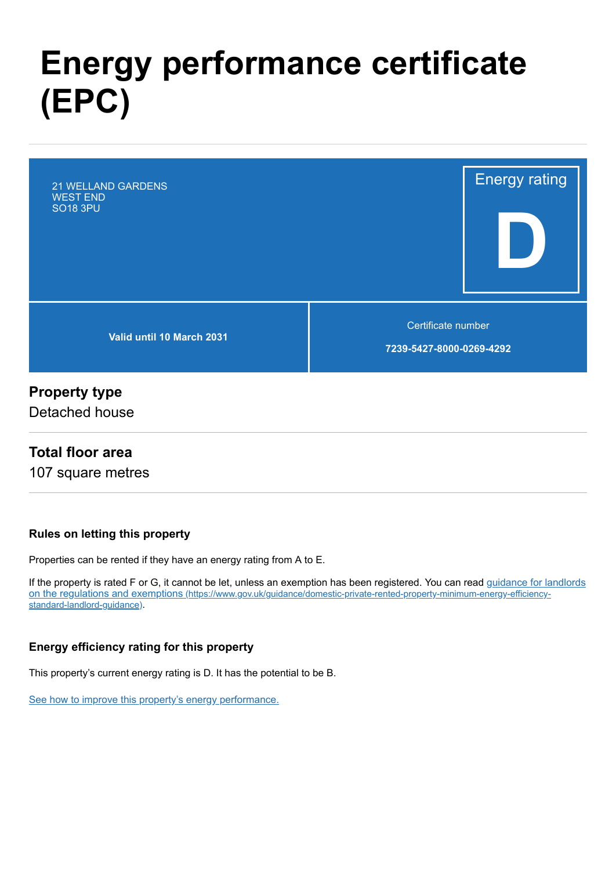# **Energy performance certificate (EPC)**

Energy rating **D Valid until 10 March 2031** Certificate number **7239-5427-8000-0269-4292** 21 WELLAND GARDENS WEST END SO18 3PU

### **Property type**

Detached house

### **Total floor area**

107 square metres

#### **Rules on letting this property**

Properties can be rented if they have an energy rating from A to E.

[If the property is rated F or G, it cannot be let, unless an exemption has been registered. You can read guidance for landlords](https://www.gov.uk/guidance/domestic-private-rented-property-minimum-energy-efficiency-standard-landlord-guidance) on the regulations and exemptions (https://www.gov.uk/guidance/domestic-private-rented-property-minimum-energy-efficiencystandard-landlord-guidance).

#### **Energy efficiency rating for this property**

This property's current energy rating is D. It has the potential to be B.

[See how to improve this property's energy performance.](#page-3-0)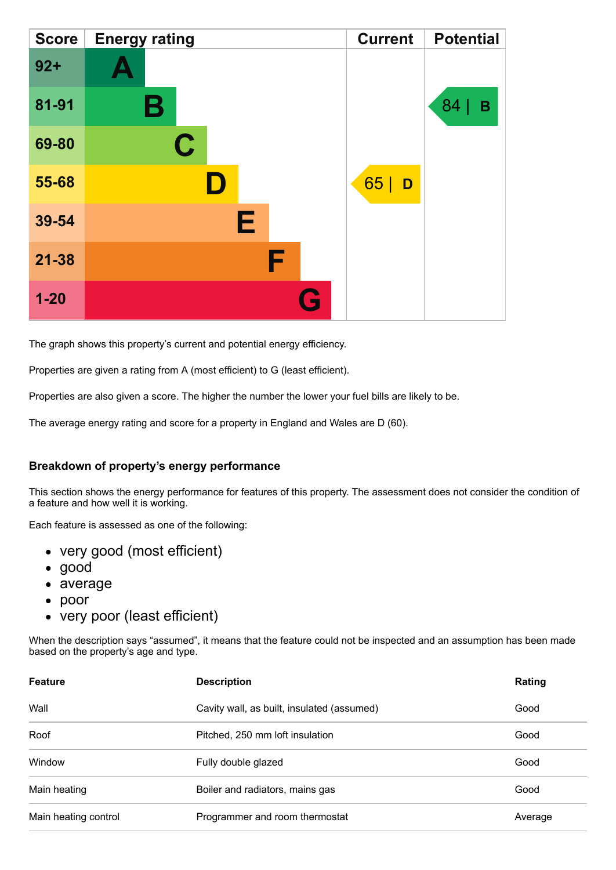| <b>Score</b> | <b>Energy rating</b> | <b>Current</b> | <b>Potential</b> |
|--------------|----------------------|----------------|------------------|
| $92 +$       |                      |                |                  |
| 81-91        | Β                    |                | 84<br>В          |
| 69-80        | $\mathbf C$          |                |                  |
| 55-68        |                      | 65 D           |                  |
| 39-54        | Е                    |                |                  |
| $21 - 38$    | F                    |                |                  |
| $1 - 20$     | G                    |                |                  |

The graph shows this property's current and potential energy efficiency.

Properties are given a rating from A (most efficient) to G (least efficient).

Properties are also given a score. The higher the number the lower your fuel bills are likely to be.

The average energy rating and score for a property in England and Wales are D (60).

#### **Breakdown of property's energy performance**

This section shows the energy performance for features of this property. The assessment does not consider the condition of a feature and how well it is working.

Each feature is assessed as one of the following:

- very good (most efficient)
- good
- average
- poor
- very poor (least efficient)

When the description says "assumed", it means that the feature could not be inspected and an assumption has been made based on the property's age and type.

| <b>Feature</b>       | <b>Description</b>                         | Rating  |
|----------------------|--------------------------------------------|---------|
| Wall                 | Cavity wall, as built, insulated (assumed) | Good    |
| Roof                 | Pitched, 250 mm loft insulation            | Good    |
| Window               | Fully double glazed                        | Good    |
| Main heating         | Boiler and radiators, mains gas            | Good    |
| Main heating control | Programmer and room thermostat             | Average |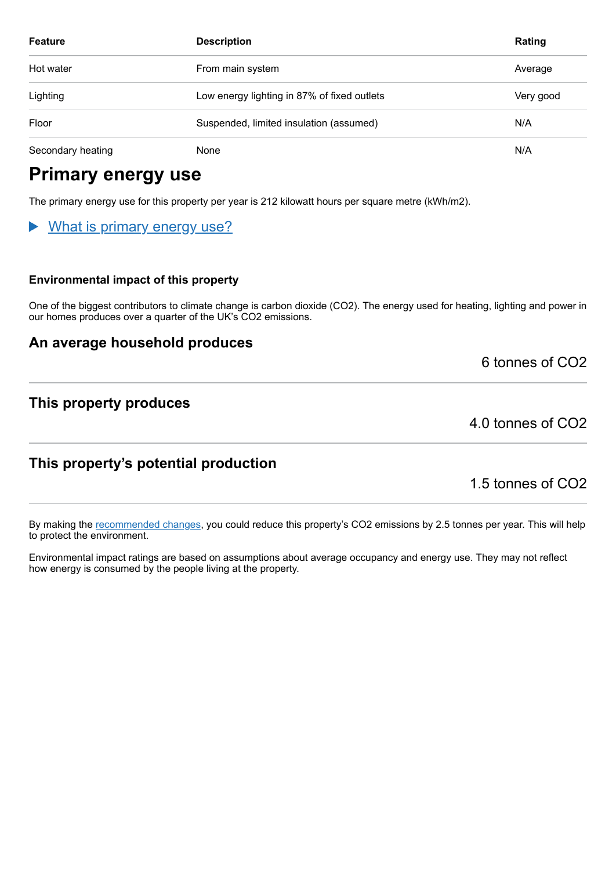| <b>Feature</b>    | <b>Description</b>                          | Rating    |
|-------------------|---------------------------------------------|-----------|
| Hot water         | From main system                            | Average   |
| Lighting          | Low energy lighting in 87% of fixed outlets | Very good |
| Floor             | Suspended, limited insulation (assumed)     | N/A       |
| Secondary heating | None                                        | N/A       |

# **Primary energy use**

The primary energy use for this property per year is 212 kilowatt hours per square metre (kWh/m2).

### What is primary energy use?

#### **Environmental impact of this property**

One of the biggest contributors to climate change is carbon dioxide (CO2). The energy used for heating, lighting and power in our homes produces over a quarter of the UK's CO2 emissions.

### **An average household produces**

6 tonnes of CO2

### **This property produces**

4.0 tonnes of CO2

### **This property's potential production**

1.5 tonnes of CO2

By making the [recommended changes,](#page-3-0) you could reduce this property's CO2 emissions by 2.5 tonnes per year. This will help to protect the environment.

Environmental impact ratings are based on assumptions about average occupancy and energy use. They may not reflect how energy is consumed by the people living at the property.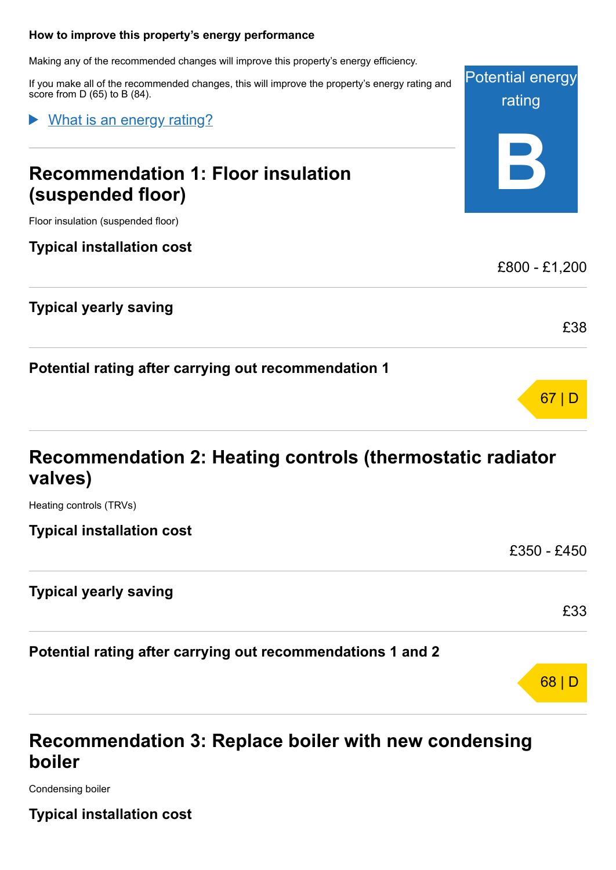#### <span id="page-3-0"></span>**How to improve this property's energy performance**

Making any of the recommended changes will improve this property's energy efficiency.

If you make all of the recommended changes, this will improve the property's energy rating and score from D (65) to B (84).

What is an energy rating?

# **Recommendation 1: Floor insulation (suspended floor)**



Floor insulation (suspended floor)

### **Typical installation cost**

### **Typical yearly saving**

**Potential rating after carrying out recommendation 1**

# 67 | D

£38

£33

68 | D

£800 - £1,200

# **Recommendation 2: Heating controls (thermostatic radiator valves)**

Heating controls (TRVs)

**Typical installation cost**

£350 - £450

### **Typical yearly saving**

**Potential rating after carrying out recommendations 1 and 2**

# **Recommendation 3: Replace boiler with new condensing boiler**

Condensing boiler

**Typical installation cost**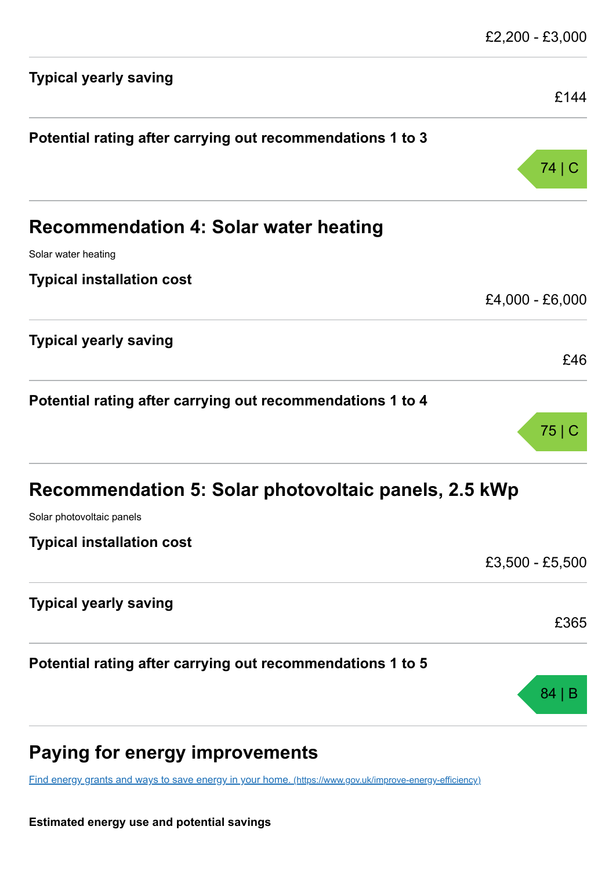| <b>Typical yearly saving</b>                               | £144            |
|------------------------------------------------------------|-----------------|
| Potential rating after carrying out recommendations 1 to 3 |                 |
|                                                            | 74   C          |
| <b>Recommendation 4: Solar water heating</b>               |                 |
| Solar water heating                                        |                 |
| <b>Typical installation cost</b>                           |                 |
|                                                            | £4,000 - £6,000 |
| <b>Typical yearly saving</b>                               | £46             |
|                                                            |                 |
| Potential rating after carrying out recommendations 1 to 4 |                 |
|                                                            | 75 C            |
| Recommendation 5: Solar photovoltaic panels, 2.5 kWp       |                 |
| Solar photovoltaic panels                                  |                 |
| <b>Typical installation cost</b>                           |                 |
|                                                            | £3,500 - £5,500 |
| <b>Typical yearly saving</b>                               |                 |
|                                                            | £365            |
| Potential rating after carrying out recommendations 1 to 5 |                 |
|                                                            | 84   B          |
|                                                            |                 |

# **Paying for energy improvements**

[Find energy grants and ways to save energy in your home.](https://www.gov.uk/improve-energy-efficiency) (https://www.gov.uk/improve-energy-efficiency)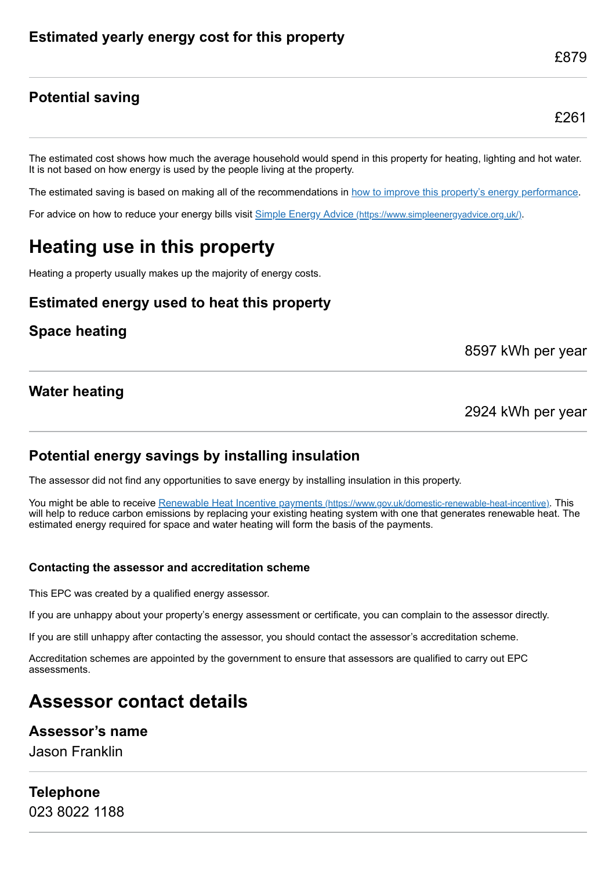### **Potential saving**

£879

The estimated cost shows how much the average household would spend in this property for heating, lighting and hot water. It is not based on how energy is used by the people living at the property.

The estimated saving is based on making all of the recommendations in [how to improve this property's energy performance.](#page-3-0)

For advice on how to reduce your energy bills visit Simple Energy Advice [\(https://www.simpleenergyadvice.org.uk/\)](https://www.simpleenergyadvice.org.uk/).

# **Heating use in this property**

Heating a property usually makes up the majority of energy costs.

### **Estimated energy used to heat this property**

### **Space heating**

8597 kWh per year

### **Water heating**

2924 kWh per year

### **Potential energy savings by installing insulation**

The assessor did not find any opportunities to save energy by installing insulation in this property.

You might be able to receive Renewable Heat Incentive payments [\(https://www.gov.uk/domestic-renewable-heat-incentive\)](https://www.gov.uk/domestic-renewable-heat-incentive). This will help to reduce carbon emissions by replacing your existing heating system with one that generates renewable heat. The estimated energy required for space and water heating will form the basis of the payments.

#### **Contacting the assessor and accreditation scheme**

This EPC was created by a qualified energy assessor.

If you are unhappy about your property's energy assessment or certificate, you can complain to the assessor directly.

If you are still unhappy after contacting the assessor, you should contact the assessor's accreditation scheme.

Accreditation schemes are appointed by the government to ensure that assessors are qualified to carry out EPC assessments.

# **Assessor contact details**

#### **Assessor's name**

Jason Franklin

#### **Telephone** 023 8022 1188